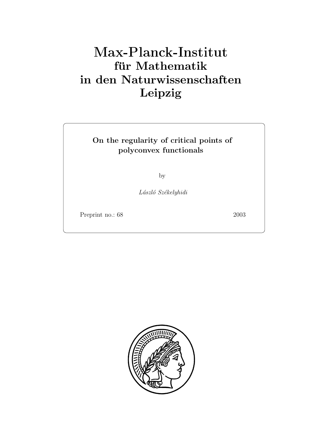## **für Mathematik in den Naturwissenschaften Leipzig**

## **On the regularity of critical points of polyconvex functionals**

by

*L´aszl´o Sz´ekelyhidi*

Preprint no.: 68 2003

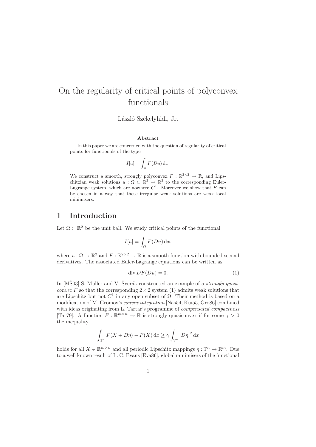# On the regularity of critical points of polyconvex

László Székelyhidi, Jr.

#### **Abstract**

In this paper we are concerned with the question of regularity of critical points for functionals of the type

$$
I[u] = \int_{\Omega} F(Du) \, \mathrm{d}x.
$$

We construct a smooth, strongly polyconvex  $F: \mathbb{R}^{2 \times 2} \to \mathbb{R}$ , and Lipschitzian weak solutions  $u : \Omega \subset \mathbb{R}^2 \to \mathbb{R}^2$  to the corresponding Euler-Lagrange system, which are nowhere  $C^1$ . Moreover we show that  $F$  can be chosen in a way that these irregular weak solutions are weak local minimisers.

## **1 Introduction**

Let  $\Omega \subset \mathbb{R}^2$  be the unit ball. We study critical points of the functional

$$
I[u] = \int_{\Omega} F(Du) \, \mathrm{d}x,
$$

where  $u : \Omega \to \mathbb{R}^2$  and  $F : \mathbb{R}^{2 \times 2} \to \mathbb{R}$  is a smooth function with bounded second derivatives. The associated Euler-Lagrange equations can be written as

$$
\operatorname{div} DF(Du) = 0. \tag{1}
$$

In [MŠ03] S. Müller and V. Šverák constructed an example of a *strongly quasiconvex* F so that the corresponding  $2 \times 2$  system (1) admits weak solutions that are Lipschitz but not  $C^1$  in any open subset of  $\Omega$ . Their method is based on a modification of M. Gromov's *convex integration* [Nas54, Kui55, Gro86] combined with ideas originating from L. Tartar's programme of *compensated compactness* [Tar79]. A function  $F : \mathbb{R}^{m \times n} \to \mathbb{R}$  is strongly quasiconvex if for some  $\gamma > 0$ the inequality

$$
\int_{\mathbb{T}^n} F(X + D\eta) - F(X) \, \mathrm{d}x \ge \gamma \int_{\mathbb{T}^n} |D\eta|^2 \, \mathrm{d}x
$$

holds for all  $X \in \mathbb{R}^{m \times n}$  and all periodic Lipschitz mappings  $\eta : \mathbb{T}^n \to \mathbb{R}^m$ . Due to a well known result of L. C. Evans [Eva86], global minimisers of the functional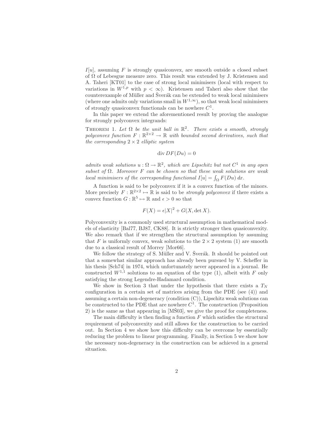$I[u]$ , assuming F is strongly quasiconvex, are smooth outside a closed subset of  $\Omega$  of Lebesgue measure zero. This result was extended by J. Kristensen and A. Taheri [KT01] to the case of strong local minimisers (local with respect to variations in  $W^{1,p}$  with  $p < \infty$ ). Kristensen and Taheri also show that the counterexample of Müller and Šverák can be extended to weak local minimisers (where one admits only variations small in  $W^{1,\infty}$ ), so that weak local minimisers of strongly quasiconvex functionals can be nowhere  $C^1$ .

In this paper we extend the aforementioned result by proving the analogue for strongly polyconvex integrands:

THEOREM 1. Let  $\Omega$  be the unit ball in  $\mathbb{R}^2$ . There exists a smooth, strongly *polyconvex function*  $F : \mathbb{R}^{2 \times 2} \to \mathbb{R}$  *with bounded second derivatives, such that the corresponding* 2 × 2 *elliptic system*

$$
\operatorname{div} DF(Du) = 0
$$

*admits weak solutions*  $u : \Omega \to \mathbb{R}^2$ , which are Lipschitz but not  $C^1$  in any open *subset of* Ω*. Moreover* F *can be chosen so that these weak solutions are weak local minimisers of the corresponding functional*  $I[u] = \int_{\Omega} F(Du) dx$ .

A function is said to be polyconvex if it is a convex function of the minors. More precisely  $F : \mathbb{R}^{2 \times 2} \mapsto \mathbb{R}$  is said to be *strongly polyconvex* if there exists a convex function  $G : \mathbb{R}^5 \mapsto \mathbb{R}$  and  $\epsilon > 0$  so that

$$
F(X) = \epsilon |X|^2 + G(X, \det X).
$$

Polyconvexity is a commonly used structural assumption in mathematical models of elasticity [Bal77, BJ87, CK88]. It is strictly stronger then quasiconvexity. We also remark that if we strengthen the structural assumption by assuming that F is uniformly convex, weak solutions to the  $2 \times 2$  system (1) are smooth due to a classical result of Morrey [Mor66].

We follow the strategy of S. Müller and V. Šverák. It should be pointed out that a somewhat similar approach has already been pursued by V. Scheffer in his thesis [Sch74] in 1974, which unfortunately never appeared in a journal. He constructed  $W^{1,1}$  solutions to an equation of the type (1), albeit with F only satisfying the strong Legendre-Hadamard condition.

We show in Section 3 that under the hypothesis that there exists a  $T_N$ configuration in a certain set of matrices arising from the PDE (see (4)) and assuming a certain non-degeneracy (condition (C)), Lipschitz weak solutions can be constructed to the PDE that are nowhere  $C<sup>1</sup>$ . The construction (Proposition 2) is the same as that appearing in  $[M\check{S}03]$ , we give the proof for completeness.

The main difficulty is then finding a function  $F$  which satisfies the structural requirement of polyconvexity and still allows for the construction to be carried out. In Section 4 we show how this difficulty can be overcome by essentially reducing the problem to linear programming. Finally, in Section 5 we show how the necessary non-degeneracy in the construction can be achieved in a general situation.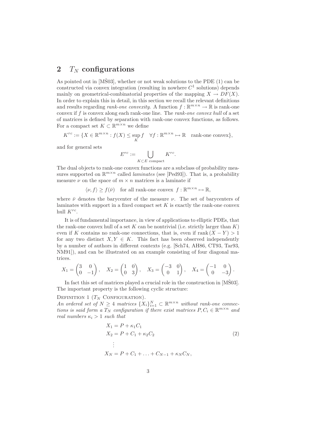## **2**  $T_N$  configurations

As pointed out in  $[M\dot{S}03]$ , whether or not weak solutions to the PDE  $(1)$  can be constructed via convex integration (resulting in nowhere  $C<sup>1</sup>$  solutions) depends mainly on geometrical-combinatorial properties of the mapping  $X \to DF(X)$ . In order to explain this in detail, in this section we recall the relevant definitions and results regarding *rank-one convexity*. A function  $f : \mathbb{R}^{m \times n} \to \mathbb{R}$  is rank-one convex if f is convex along each rank-one line. The *rank-one convex hull* of a set of matrices is defined by separation with rank-one convex functions, as follows. For a compact set  $K \subset \mathbb{R}^{m \times n}$  we define

$$
K^{rc} := \{ X \in \mathbb{R}^{m \times n} : f(X) \le \sup_K f \quad \forall f : \mathbb{R}^{m \times n} \mapsto \mathbb{R} \quad \text{rank-one convex} \},
$$

and for general sets

$$
E^{rc} := \bigcup_{K \subset E \text{ compact}} K^{rc}.
$$

The dual objects to rank-one convex functions are a subclass of probability measures supported on  $\mathbb{R}^{m \times n}$  called *laminates* (see [Ped93]). That is, a probability measure  $\nu$  on the space of  $m \times n$  matrices is a laminate if

 $\langle v, f \rangle \ge f(\bar{v})$  for all rank-one convex  $f : \mathbb{R}^{m \times n} \mapsto \mathbb{R}$ ,

where  $\bar{\nu}$  denotes the barycenter of the measure  $\nu$ . The set of barycenters of laminates with support in a fixed compact set  $K$  is exactly the rank-one convex hull  $K^{rc}$ .

It is of fundamental importance, in view of applications to elliptic PDEs, that the rank-one convex hull of a set  $K$  can be nontrivial (i.e. strictly larger than  $K$ ) even if K contains no rank-one connections, that is, even if  $rank(X - Y) > 1$ for any two distinct  $X, Y \in K$ . This fact has been observed independently by a number of authors in different contexts (e.g. [Sch74, AH86, CT93, Tar93, NM91]), and can be illustrated on an example consisting of four diagonal matrices.

$$
X_1 = \begin{pmatrix} 3 & 0 \\ 0 & -1 \end{pmatrix}, X_2 = \begin{pmatrix} 1 & 0 \\ 0 & 3 \end{pmatrix}, X_3 = \begin{pmatrix} -3 & 0 \\ 0 & 1 \end{pmatrix}, X_4 = \begin{pmatrix} -1 & 0 \\ 0 & -3 \end{pmatrix}.
$$

In fact this set of matrices played a crucial role in the construction in  $[M\check{S}03]$ . The important property is the following cyclic structure:

DEFINITION 1  $(T_N \text{ CONFIGURATION})$ .

*An ordered set of*  $N \geq 4$  *matrices*  $\{X_i\}_{i=1}^N \subset \mathbb{R}^{m \times n}$  *without rank-one connections is said form a*  $T_N$  *configuration if there exist matrices*  $P, C_i \in \mathbb{R}^{m \times n}$  *and real numbers*  $\kappa_i > 1$  *such that* 

$$
X_1 = P + \kappa_1 C_1
$$
  
\n
$$
X_2 = P + C_1 + \kappa_2 C_2
$$
  
\n
$$
\vdots
$$
  
\n
$$
X_N = P + C_1 + \ldots + C_{N-1} + \kappa_N C_N,
$$
  
\n(2)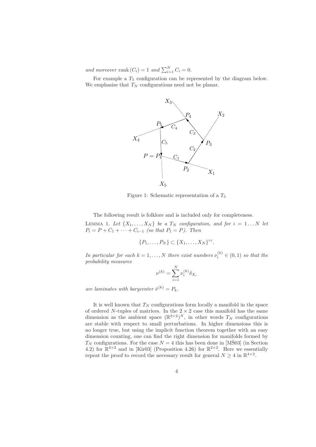and moreover rank  $(C_i) = 1$  and  $\sum_{i=1}^{N} C_i = 0$ .

For example a  $T_5$  configuration can be represented by the diagram below. We emphasise that  $T_N$  configurations need not be planar.



Figure 1: Schematic representation of a  $T_5$ 

The following result is folklore and is included only for completeness.

LEMMA 1. Let  $\{X_1, \ldots, X_N\}$  be a  $T_N$  configuration, and for  $i = 1 \ldots N$  let  $P_i = P + C_1 + \cdots + C_{i-1}$  *(so that*  $P_1 = P$ *). Then* 

$$
\{P_1,\ldots,P_N\}\subset\{X_1,\ldots,X_N\}^{rc}.
$$

*In particular for each*  $k = 1, ..., N$  *there exist numbers*  $\nu_i^{(k)} \in (0, 1)$  *so that the probability measures*

$$
\nu^{(k)} = \sum_{i=1}^N \nu_i^{(k)} \delta_{X_i}
$$

*are laminates with barycenter*  $\bar{\nu}^{(k)} = P_k$ .

It is well known that  $T_N$  configurations form locally a manifold in the space of ordered N-tuples of matrices. In the  $2 \times 2$  case this manifold has the same dimension as the ambient space  $(\mathbb{R}^{2\times 2})^N$ , in other words  $T_N$  configurations are stable with respect to small perturbations. In higher dimensions this is no longer true, but using the implicit function theorem together with an easy dimension counting, one can find the right dimension for manifolds formed by  $T_N$  configurations. For the case  $N = 4$  this has been done in [MS03] (in Section 4.2) for  $\mathbb{R}^{4\times2}$  and in [Kir03] (Proposition 4.26) for  $\mathbb{R}^{2\times2}$ . Here we essentially repeat the proof to record the necessary result for general  $N \geq 4$  in  $\mathbb{R}^{4 \times 2}$ .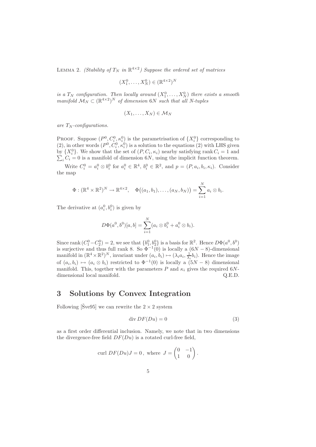LEMMA 2. *(Stability of*  $T_N$  *in*  $\mathbb{R}^{4 \times 2}$ *) Suppose the ordered set of matrices* 

$$
(X_1^0, \ldots, X_N^0) \in (\mathbb{R}^{4 \times 2})^N
$$

*is a*  $T_N$  *configuration. Then locally around*  $(X_1^0, \ldots, X_N^0)$  *there exists a smooth manifold*  $M_N \subset (\mathbb{R}^{4 \times 2})^N$  *of dimension* 6N *such that all N-tuples* 

$$
(X_1,\ldots,X_N)\in \mathcal{M}_N
$$

 $are T_N$ -configurations.

PROOF. Suppose  $(P^0, C_i^0, \kappa_i^0)$  is the parametrisation of  $\{X_i^0\}$  corresponding to (2), in other words  $(P^0, C_i^0, \kappa_i^0)$  is a solution to the equations (2) with LHS given by  $\{X_i^0\}$ . We show that the set of  $(P, C_i, \kappa_i)$  nearby satisfying rank  $C_i = 1$  and  $\sum_{i} C_i = 0$  is a manifold of dimension 6N, using the implicit function theorem.

Write  $C_i^0 = a_i^0 \otimes b_i^0$  for  $a_i^0 \in \mathbb{R}^4$ ,  $b_i^0 \in \mathbb{R}^2$ , and  $p = (P, a_i, b_i, \kappa_i)$ . Consider the map

$$
\Phi : (\mathbb{R}^4 \times \mathbb{R}^2)^N \to \mathbb{R}^{4 \times 2}, \quad \Phi((a_1, b_1), \ldots, (a_N, b_N)) = \sum_{i=1}^N a_i \otimes b_i.
$$

The derivative at  $(a_i^0, b_i^0)$  is given by

$$
D\Phi(a^0, b^0)[a, b] = \sum_{i=1}^{N} (a_i \otimes b_i^0 + a_i^0 \otimes b_i).
$$

Since rank  $(C_1^0 - C_2^0) = 2$ , we see that  $\{b_1^0, b_2^0\}$  is a basis for  $\mathbb{R}^2$ . Hence  $D\Phi(a^0, b^0)$ is surjective and thus full rank 8. So  $\Phi^{-1}(0)$  is locally a  $(6N-8)$ -dimensional manifold in  $(\mathbb{R}^4 \times \mathbb{R}^2)^N$ , invariant under  $(a_i, b_i) \mapsto (\lambda_i a_i, \frac{1}{\lambda_i} b_i)$ . Hence the image of  $(a_i, b_i) \mapsto (a_i \otimes b_i)$  restricted to  $\Phi^{-1}(0)$  is locally a  $(5N-8)$  dimensional manifold. This, together with the parameters P and  $\kappa_i$  gives the required 6Ndimensional local manifold.  $Q.E.D.$ 

### **3 Solutions by Convex Integration**

Following [Sve95] we can rewrite the  $2 \times 2$  system

$$
\operatorname{div} DF(Du) = 0 \tag{3}
$$

as a first order differential inclusion. Namely, we note that in two dimensions the divergence-free field  $DF(Du)$  is a rotated curl-free field,

$$
\text{curl } DF(Du)J = 0, \text{ where } J = \begin{pmatrix} 0 & -1 \\ 1 & 0 \end{pmatrix}.
$$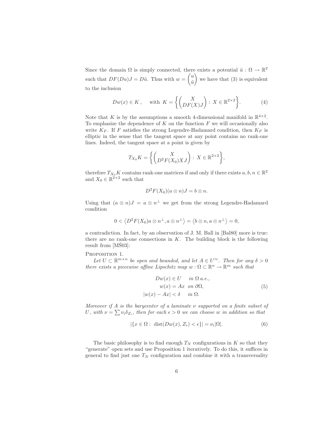Since the domain  $\Omega$  is simply connected, there exists a potential  $\tilde{u}: \Omega \to \mathbb{R}^2$ such that  $DF(Du)J = D\tilde{u}$ . Thus with  $w = \begin{pmatrix} u \\ \tilde{v} \end{pmatrix}$  $\tilde{u}$ we have that  $(3)$  is equivalent to the inclusion

$$
Dw(x) \in K, \quad \text{with } K = \left\{ \begin{pmatrix} X \\ DF(X)J \end{pmatrix} : X \in \mathbb{R}^{2 \times 2} \right\}.
$$
 (4)

Note that K is by the assumptions a smooth 4-dimensional manifold in  $\mathbb{R}^{4\times 2}$ . To emphasize the dependence of  $K$  on the function  $F$  we will occasionally also write  $K_F$ . If F satisfies the strong Legendre-Hadamard condition, then  $K_F$  is elliptic in the sense that the tangent space at any point contains no rank-one lines. Indeed, the tangent space at a point is given by

$$
T_{X_0}K = \left\{ \begin{pmatrix} X \\ D^2F(X_0)XJ \end{pmatrix} : X \in \mathbb{R}^{2 \times 2} \right\},\
$$

therefore  $T_{X_0}K$  contains rank-one matrices if and only if there exists  $a, b, n \in \mathbb{R}^2$ and  $X_0 \in \mathbb{R}^{2 \times 2}$  such that

$$
D^2F(X_0)(a\otimes n)J = b\otimes n.
$$

Using that  $(a \otimes n)J = a \otimes n^{\perp}$  we get from the strong Legendre-Hadamard condition

$$
0 < \langle D^2F(X_0)a \otimes n^{\perp}, a \otimes n^{\perp} \rangle = \langle b \otimes n, a \otimes n^{\perp} \rangle = 0,
$$

a contradiction. In fact, by an observation of J. M. Ball in [Bal80] more is true: there are no rank-one connections in  $K$ . The building block is the following result from  $[MS03]$ :

#### PROPOSITION 1.

Let  $U \subset \mathbb{R}^{m \times n}$  be open and bounded, and let  $A \in U^{rc}$ . Then for any  $\delta > 0$ *there exists a piecewise affine Lipschitz map*  $w : \Omega \subset \mathbb{R}^n \to \mathbb{R}^m$  *such that* 

$$
Dw(x) \in U \quad in \Omega \text{ a.e.,}
$$
  
\n
$$
w(x) = Ax \quad on \quad \partial\Omega,
$$
  
\n
$$
|w(x) - Ax| < \delta \quad in \quad \Omega.
$$
\n(5)

*Moreover if* A *is the barycenter of a laminate* ν *supported on a finite subset of* U, with  $\nu = \sum \nu_i \delta_{Z_i}$ , then for each  $\epsilon > 0$  we can choose w in addition so that

$$
|\{x \in \Omega : \operatorname{dist}(Dw(x), Z_i) < \epsilon\}| = \nu_i |\Omega|. \tag{6}
$$

The basic philosophy is to find enough  $T_N$  configurations in K so that they "generate" open sets and use Proposition 1 iteratively. To do this, it suffices in general to find just one  $T_N$  configuration and combine it with a transversality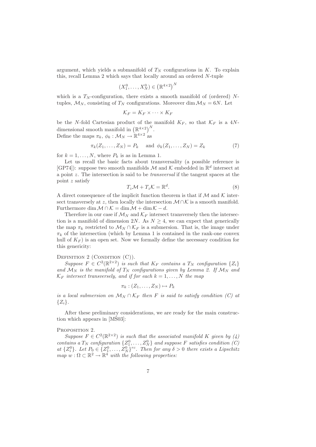argument, which yields a submanifold of  $T_N$  configurations in K. To explain this, recall Lemma 2 which says that locally around an ordered N-tuple

$$
(X_1^0, \ldots, X_N^0) \in \left(\mathbb{R}^{4 \times 2}\right)^N
$$

which is a  $T<sub>N</sub>$ -configuration, there exists a smooth manifold of (ordered) Ntuples,  $\mathcal{M}_N$ , consisting of  $T_N$  configurations. Moreover dim  $\mathcal{M}_N = 6N$ . Let

$$
\mathcal{K}_F = K_F \times \cdots \times K_F
$$

be the N-fold Cartesian product of the manifold  $K_F$ , so that  $\mathcal{K}_F$  is a 4Ndimensional smooth manifold in  $(\mathbb{R}^{4\times2})^N$ . Define the maps  $\pi_k$ ,  $\phi_k : \mathcal{M}_N \to \mathbb{R}^{4 \times 2}$  as

$$
\pi_k(Z_1, \dots, Z_N) = P_k \quad \text{and } \phi_k(Z_1, \dots, Z_N) = Z_k \tag{7}
$$

for  $k = 1, ..., N$ , where  $P_k$  is as in Lemma 1.

Let us recall the basic facts about transversality (a possible reference is  $[GP74]$ : suppose two smooth manifolds M and K embedded in  $\mathbb{R}^d$  intersect at a point z. The intersection is said to be *transversal* if the tangent spaces at the point z satisfy

$$
T_z \mathcal{M} + T_z \mathcal{K} = \mathbb{R}^d.
$$
 (8)

A direct consequence of the implicit function theorem is that if  $M$  and  $K$  intersect transversely at z, then locally the intersection  $\mathcal{M} \cap \mathcal{K}$  is a smooth manifold. Furthermore dim  $\mathcal{M} \cap \mathcal{K} = \dim \mathcal{M} + \dim \mathcal{K} - d$ .

Therefore in our case if  $\mathcal{M}_N$  and  $\mathcal{K}_F$  intersect transversely then the intersection is a manifold of dimension 2N. As  $N \geq 4$ , we can expect that generically the map  $\pi_k$  restricted to  $\mathcal{M}_N \cap \mathcal{K}_F$  is a submersion. That is, the image under  $\pi_k$  of the intersection (which by Lemma 1 is contained in the rank-one convex hull of  $K_F$ ) is an open set. Now we formally define the necessary condition for this genericity:

#### DEFINITION  $2$  (CONDITION  $(C)$ ).

*Suppose*  $F \in C^2(\mathbb{R}^{2\times 2})$  *is such that*  $K_F$  *contains a*  $T_N$  *configuration*  $\{Z_i\}$ and  $M_N$  *is the manifold of*  $T_N$  *configurations given by Lemma 2. If*  $M_N$  *and*  $\mathcal{K}_F$  *intersect transversely, and if for each*  $k = 1, \ldots, N$  *the map* 

$$
\pi_k : (Z_1, \ldots, Z_N) \mapsto P_k
$$

*is a local submersion on*  $M_N \cap \mathcal{K}_F$  *then* F *is said to satisfy condition (C) at*  $\{Z_i\}.$ 

After these preliminary considerations, we are ready for the main construction which appears in  $[M\check{S}03]$ :

#### PROPOSITION 2.

*Suppose*  $F \in C^2(\mathbb{R}^{2\times 2})$  *is such that the associated manifold* K *given by* (4) *contains a*  $T_N$  *configuration*  $\{Z_1^0, \ldots, Z_N^0\}$  *and suppose* F *satisfies condition*  $(C)$ at  $\{Z_i^0\}$ . Let  $P_0 \in \{Z_1^0, \ldots, Z_N^0\}$ <sup>rc</sup>. Then for any  $\delta > 0$  there exists a Lipschitz  $map \ w: \Omega \subset \mathbb{R}^2 \to \mathbb{R}^4$  *with the following properties:*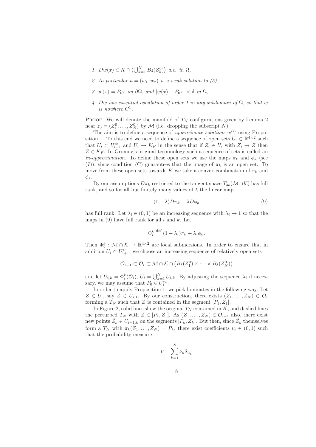- *1.*  $Dw(x) \in K \cap \left(\bigcup_{k=1}^N B_\delta(Z_k^0)\right)$  *a.e.* in  $\Omega$ *,*
- 2. In particular  $u = (w_1, w_2)$  *is a weak solution to (3)*,
- *3.*  $w(x) = P_0x$  *on* ∂Ω*, and*  $|w(x) P_0x| < δ$  *in* Ω*,*
- *4.* Dw *has essential oscillation of order 1 in any subdomain of* Ω*, so that* w *is nowhere*  $C^1$ .

PROOF. We will denote the manifold of  $T_N$  configurations given by Lemma 2 near  $z_0 = (Z_1^0, \ldots, Z_N^0)$  by M (i.e. dropping the subscript N).

The aim is to define a sequence of *approximate solutions*  $w^{(i)}$  using Proposition 1. To this end we need to define a sequence of open sets  $U_i \subset \mathbb{R}^{4 \times 2}$  such that  $U_i \subset U_{i+1}^{\text{rc}}$  and  $U_i \to K_F$  in the sense that if  $Z_i \in U_i$  with  $Z_i \to Z$  then  $Z \in K_F$ . In Gromov's original terminology such a sequence of sets is called an *in-approximation*. To define these open sets we use the maps  $\pi_k$  and  $\phi_k$  (see (7)), since condition (C) guarantees that the image of  $\pi_k$  is an open set. To move from these open sets towards K we take a convex combination of  $\pi_k$  and  $\phi_k$ .

By our assumptions  $D\pi_k$  restricted to the tangent space  $T_{z_0}(\mathcal{M}\cap\mathcal{K})$  has full rank, and so for all but finitely many values of  $\lambda$  the linear map

$$
(1 - \lambda)D\pi_k + \lambda D\phi_k \tag{9}
$$

has full rank. Let  $\lambda_i \in (0,1)$  be an increasing sequence with  $\lambda_i \to 1$  so that the maps in  $(9)$  have full rank for all i and k. Let

$$
\Phi_i^k \stackrel{\text{def}}{=} (1 - \lambda_i)\pi_k + \lambda_i \phi_k.
$$

Then  $\Phi_i^k : \mathcal{M} \cap \mathcal{K} \to \mathbb{R}^{4 \times 2}$  are local submersions. In order to ensure that in addition  $U_i \subset U_{i+1}^{\text{rc}}$ , we choose an increasing sequence of relatively open sets

$$
\mathcal{O}_{i-1} \subset \mathcal{O}_i \subset \mathcal{M} \cap \mathcal{K} \cap (B_{\delta}(Z_1^0) \times \cdots \times B_{\delta}(Z_N^0))
$$

and let  $U_{i,k} = \Phi_i^k(\mathcal{O}_i)$ ,  $U_i = \bigcup_{k=1}^N U_{i,k}$ . By adjusting the sequence  $\lambda_i$  if necessary, we may assume that  $P_0 \in U_1^{rc}$ .

In order to apply Proposition 1, we pick laminates in the following way. Let  $Z \in U_i$ , say  $Z \in U_{i,1}$ . By our construction, there exists  $(Z_1,\ldots,Z_N) \in \mathcal{O}_i$ forming a  $T_N$  such that Z is contained in the segment  $[P_1, Z_1]$ .

In Figure 2, solid lines show the original  $T_N$  contained in  $K$ , and dashed lines the perturbed  $T_N$  with  $Z \in [P_1, Z_1]$ . As  $(Z_1, \ldots, Z_N) \in \mathcal{O}_{i+1}$  also, there exist new points  $Z_k \in U_{i+1,k}$  on the segments  $[P_k, Z_k]$ . But then, since  $Z_k$  themselves form a  $T_N$  with  $\pi_k(\tilde{Z}_1,\ldots,\tilde{Z}_N) = P_k$ , there exist coefficients  $\nu_i \in (0,1)$  such that the probability measure

$$
\nu = \sum_{k=1}^{N} \nu_k \delta_{\tilde{Z}_k}
$$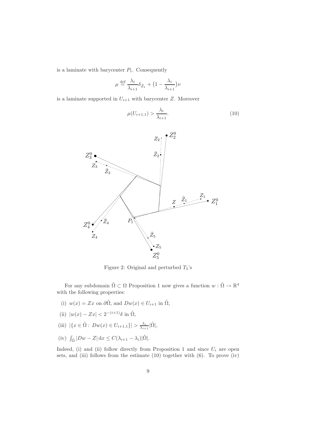is a laminate with barycenter  $P_1$ . Consequently

$$
\mu \stackrel{\text{def}}{=} \frac{\lambda_i}{\lambda_{i+1}} \delta_{\tilde{Z}_1} + \big(1 - \frac{\lambda_i}{\lambda_{i+1}}\big)\nu
$$

is a laminate supported in  $U_{i+1}$  with barycenter Z. Moreover

$$
\mu(U_{i+1,1}) > \frac{\lambda_i}{\lambda_{i+1}}.\tag{10}
$$



Figure 2: Original and perturbed  $T_5$ 's

For any subdomain  $\tilde{\Omega} \subset \Omega$  Proposition 1 now gives a function  $w : \tilde{\Omega} \to \mathbb{R}^4$ with the following properties:

- (i)  $w(x) = Zx$  on  $\partial \tilde{\Omega}$ , and  $Dw(x) \in U_{i+1}$  in  $\tilde{\Omega}$ ,
- (ii)  $|w(x) Zx| < 2^{-(i+1)}\delta$  in  $\tilde{\Omega}$ ,
- (iii)  $|\{x \in \tilde{\Omega} : Dw(x) \in U_{i+1,1}\}| > \frac{\lambda_i}{\lambda_{i+1}} |\tilde{\Omega}|,$
- (iv)  $\int_{\tilde{\Omega}} |Dw Z| dx \leq C(\lambda_{i+1} \lambda_i) |\tilde{\Omega}|.$

Indeed, (i) and (ii) follow directly from Proposition 1 and since  $U_i$  are open sets, and (iii) follows from the estimate (10) together with (6). To prove (iv)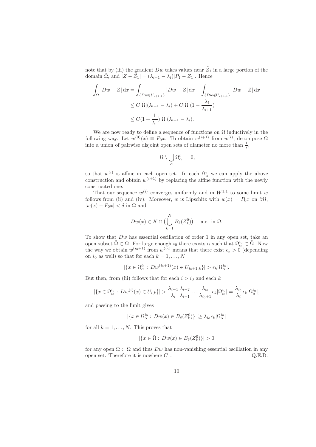note that by (iii) the gradient  $Dw$  takes values near  $\tilde Z_1$  in a large portion of the domain  $\tilde{\Omega}$ , and  $|Z - \tilde{Z}_1| = (\lambda_{i+1} - \lambda_i)|P_1 - Z_1|$ . Hence

$$
\int_{\tilde{\Omega}} |Dw - Z| dx = \int_{\{Dw \in U_{i+1,1}\}} |Dw - Z| dx + \int_{\{Dw \notin U_{i+1,1}\}} |Dw - Z| dx
$$
  
\n
$$
\leq C |\tilde{\Omega}|(\lambda_{i+1} - \lambda_i) + C |\tilde{\Omega}| (1 - \frac{\lambda_i}{\lambda_{i+1}})
$$
  
\n
$$
\leq C(1 + \frac{1}{\lambda_1}) |\tilde{\Omega}|(\lambda_{i+1} - \lambda_i).
$$

We are now ready to define a sequence of functions on  $\Omega$  inductively in the following way. Let  $w^{(0)}(x) \equiv P_0 x$ . To obtain  $w^{(i+1)}$  from  $w^{(i)}$ , decompose  $\Omega$ into a union of pairwise disjoint open sets of diameter no more than  $\frac{1}{i}$ ,

$$
|\Omega\setminus\bigcup_{\alpha}\Omega^{i}_{\alpha}|=0,
$$

so that  $w^{(i)}$  is affine in each open set. In each  $\Omega^i_\alpha$  we can apply the above construction and obtain  $w^{(i+1)}$  by replacing the affine function with the newly constructed one.

That our sequence  $w^{(i)}$  converges uniformly and in  $W^{1,1}$  to some limit w follows from (ii) and (iv). Moreover, w is Lipschitz with  $w(x) = P_0x$  on  $\partial\Omega$ ,  $|w(x) - P_0x| < \delta$  in  $\Omega$  and

$$
Dw(x) \in K \cap \left(\bigcup_{k=1}^{N} B_{\delta}(Z_k^0)\right) \quad \text{a.e. in } \Omega.
$$

To show that  $Dw$  has essential oscillation of order 1 in any open set, take an open subset  $\tilde{\Omega} \subset \Omega$ . For large enough  $i_0$  there exists  $\alpha$  such that  $\Omega^{i_0}_{\alpha} \subset \tilde{\Omega}$ . Now the way we obtain  $w^{(i_0+1)}$  from  $w^{(i_0)}$  means that there exist  $\epsilon_k > 0$  (depending on  $i_0$  as well) so that for each  $k = 1, ..., N$ 

$$
|\{x \in \Omega^{i_0}_{\alpha} : Dw^{(i_0+1)}(x) \in U_{i_0+1,k}\}| > \epsilon_k |\Omega^{i_0}_{\alpha}|.
$$

But then, from (iii) follows that for each  $i>i_0$  and each k

$$
|\{x \in \Omega^{i_0}_{\alpha}: Dw^{(i)}(x) \in U_{i,k}\}| > \frac{\lambda_{i-1}}{\lambda_i} \frac{\lambda_{i-2}}{\lambda_{i-1}} \dots \frac{\lambda_{i_0}}{\lambda_{i_0+1}} \epsilon_k |\Omega^{i_0}_{\alpha}| = \frac{\lambda_{i_0}}{\lambda_i} \epsilon_k |\Omega^{i_0}_{\alpha}|,
$$

and passing to the limit gives

$$
|\{x \in \Omega^{i_0}_{\alpha} : Dw(x) \in B_{\delta}(Z^0_k)\}| \geq \lambda_{i_0} \epsilon_k |\Omega^{i_0}_{\alpha}|
$$

for all  $k = 1, \ldots, N$ . This proves that

$$
|\{x \in \tilde{\Omega} : Dw(x) \in B_{\delta}(Z_k^0)\}| > 0
$$

for any open  $\tilde{\Omega} \subset \Omega$  and thus  $Dw$  has non-vanishing essential oscillation in any open set. Therefore it is nowhere  $C^1$ .  $Q.E.D.$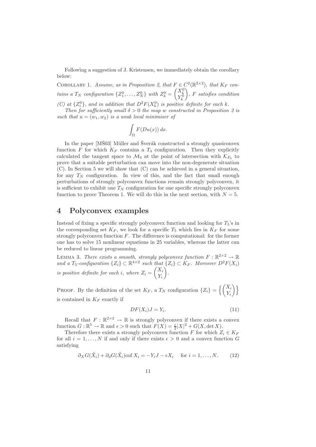Following a suggestion of J. Kristensen, we immediately obtain the corollary below:

COROLLARY 1. *Assume, as in Proposition 2, that*  $F \in C^2(\mathbb{R}^{2\times 2})$ *, that*  $K_F$  *contains a*  $T_N$  *configuration*  $\{Z_1^0, \ldots, Z_N^0\}$  *with*  $Z_k^0 = \begin{pmatrix} X_k^0 \\ Y_k^0 \end{pmatrix}$  *,* F *satisfies condition* (C) at  $\{Z_i^0\}$ , and in addition that  $D^2F(X_k^0)$  is positive definite for each k.

*Then for sufficiently small*  $\delta > 0$  *the map* w *constructed in Proposition 2 is* such that  $u = (w_1, w_2)$  *is a weak local minimiser of* 

$$
\int_{\Omega} F(Du(x)) dx.
$$

In the paper  $[M\check{S}03]$  Müller and  $\check{S}$  verák constructed a strongly quasiconvex function F for which  $K_F$  contains a  $T_4$  configuration. Then they explicitly calculated the tangent space to  $\mathcal{M}_4$  at the point of intersection with  $\mathcal{K}_{F_0}$  to prove that a suitable perturbation can move into the non-degenerate situation (C). In Section 5 we will show that (C) can be achieved in a general situation, for any  $T_N$  configuration. In view of this, and the fact that small enough perturbations of strongly polyconvex functions remain strongly polyconvex, it is sufficient to exhibit one  $T_N$  configuration for one specific strongly polyconvex function to prove Theorem 1. We will do this in the next section, with  $N = 5$ .

## **4 Polyconvex examples**

Instead of fixing a specific strongly polyconvex function and looking for  $T_5$ 's in the corresponding set  $K_F$ , we look for a specific  $T_5$  which lies in  $K_F$  for some strongly polyconvex function  $F$ . The difference is computational: for the former one has to solve 15 nonlinear equations in 25 variables, whereas the latter can be reduced to linear programming.

LEMMA 3. *There exists a smooth, strongly polyconvex function*  $F : \mathbb{R}^{2 \times 2} \to \mathbb{R}$ *and a*  $T_5$ -configuration  $\{Z_i\} \subset \mathbb{R}^{4 \times 2}$  such that  $\{Z_i\} \subset K_F$ . Moreover  $D^2F(X_i)$ *is positive definite for each i, where*  $Z_i = \begin{pmatrix} X_i \\ Y_i \end{pmatrix}$  $Y_i$ *.*

PROOF. By the definition of the set  $K_F$ , a  $T_N$  configuration  $\{Z_i\} = \left\{ \begin{pmatrix} X_i \\ Y_i \end{pmatrix} \right\}$  $Y_i$  $\big)$ is contained in  $K_F$  exactly if

$$
DF(X_i)J = Y_i.
$$
\n<sup>(11)</sup>

Recall that  $F : \mathbb{R}^{2 \times 2} \to \mathbb{R}$  is strongly polyconvex if there exists a convex function  $G : \mathbb{R}^5 \to \mathbb{R}$  and  $\epsilon > 0$  such that  $F(X) = \frac{\epsilon}{2}|X|^2 + G(X, \det X)$ .

Therefore there exists a strongly polyconvex function F for which  $Z_i \in K_F$ for all  $i = 1, ..., N$  if and only if there exists  $\epsilon > 0$  and a convex function G satisfying

$$
\partial_X G(\tilde{X}_i) + \partial_d G(\tilde{X}_i) \text{cof } X_i = -Y_i J - \epsilon X_i \quad \text{ for } i = 1, \dots, N. \tag{12}
$$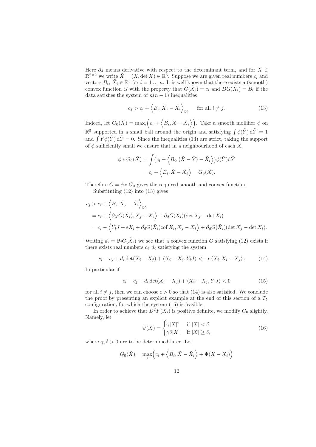Here  $\partial_d$  means derivative with respect to the determinant term, and for  $X \in$  $\mathbb{R}^{2\times 2}$  we write  $\tilde{X} = (X, \det X) \in \mathbb{R}^5$ . Suppose we are given real numbers  $c_i$  and vectors  $B_i$ ,  $\tilde{X}_i \in \mathbb{R}^5$  for  $i = 1 \ldots n$ . It is well known that there exists a (smooth) convex function G with the property that  $G(\tilde{X}_i) = c_i$  and  $DG(\tilde{X}_i) = B_i$  if the data satisfies the system of  $n(n-1)$  inequalities

$$
c_j > c_i + \langle B_i, \tilde{X}_j - \tilde{X}_i \rangle_{\mathbb{R}^5} \quad \text{for all } i \neq j.
$$
 (13)

Indeed, let  $G_0(\tilde{X}) = \max_i \left( c_i + \langle B_i, \tilde{X} - \tilde{X}_i \rangle \right)$ . Take a smooth mollifier  $\phi$  on  $\mathbb{R}^5$  supported in a small ball around the origin and satisfying  $\int \phi(\tilde{Y}) d\tilde{Y} = 1$ and  $\int \tilde{Y} \phi(\tilde{Y}) d\tilde{Y} = 0$ . Since the inequalities (13) are strict, taking the support of  $\phi$  sufficiently small we ensure that in a neighbourhood of each  $\tilde{X}_i$ 

$$
\phi * G_0(\tilde{X}) = \int \left( c_i + \left\langle B_i, (\tilde{X} - \tilde{Y}) - \tilde{X}_i \right\rangle \right) \phi(\tilde{Y}) d\tilde{Y}
$$

$$
= c_i + \left\langle B_i, \tilde{X} - \tilde{X}_i \right\rangle = G_0(\tilde{X}).
$$

Therefore  $G = \phi * G_0$  gives the required smooth and convex function. Substituting (12) into (13) gives

$$
c_j > c_i + \langle B_i, \tilde{X}_j - \tilde{X}_i \rangle_{\mathbb{R}^5}
$$
  
=  $c_i + \langle \partial_X G(\tilde{X}_i), X_j - X_i \rangle + \partial_d G(\tilde{X}_i) (\det X_j - \det X_i)$   
=  $c_i - \langle Y_i J + \epsilon X_i + \partial_d G(\tilde{X}_i) \text{cof } X_i, X_j - X_i \rangle + \partial_d G(\tilde{X}_i) (\det X_j - \det X_i).$ 

Writing  $d_i = \partial_d G(\tilde{X}_i)$  we see that a convex function G satisfying (12) exists if there exists real numbers  $c_i, d_i$  satisfying the system

$$
c_i - c_j + d_i \det(X_i - X_j) + \langle X_i - X_j, Y_i J \rangle < -\epsilon \langle X_i, X_i - X_j \rangle. \tag{14}
$$

In particular if

$$
c_i - c_j + d_i \det(X_i - X_j) + \langle X_i - X_j, Y_i J \rangle < 0 \tag{15}
$$

for all  $i \neq j$ , then we can choose  $\epsilon > 0$  so that (14) is also satisfied. We conclude the proof by presenting an explicit example at the end of this section of a  $T_5$ configuration, for which the system (15) is feasible.

In order to achieve that  $D^2F(X_i)$  is positive definite, we modify  $G_0$  slightly. Namely, let

$$
\Psi(X) = \begin{cases} \gamma |X|^2 & \text{if } |X| < \delta \\ \gamma \delta |X| & \text{if } |X| \ge \delta, \end{cases}
$$
\n(16)

where  $\gamma, \delta > 0$  are to be determined later. Let

$$
G_0(\tilde{X}) = \max_i \left( c_i + \left\langle B_i, \tilde{X} - \tilde{X}_i \right\rangle + \Psi(X - X_i) \right)
$$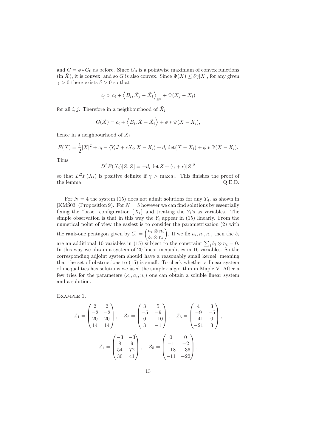and  $G = \phi * G_0$  as before. Since  $G_0$  is a pointwise maximum of convex functions  $(\text{in } \tilde{X})$ , it is convex, and so G is also convex. Since  $\Psi(X) \leq \delta \gamma |X|$ , for any given  $\gamma > 0$  there exists  $\delta > 0$  so that

$$
c_j > c_i + \langle B_i, \tilde{X}_j - \tilde{X}_i \rangle_{\mathbb{R}^5} + \Psi(X_j - X_i)
$$

for all i, j. Therefore in a neighbourhood of  $\tilde{X}_i$ 

$$
G(\tilde{X}) = c_i + \langle B_i, \tilde{X} - \tilde{X}_i \rangle + \phi * \Psi(X - X_i),
$$

hence in a neighbourhood of  $X_i$ 

$$
F(X) = \frac{\epsilon}{2}|X|^2 + c_i - \langle Y_i J + \epsilon X_i, X - X_i \rangle + d_i \det(X - X_i) + \phi * \Psi(X - X_i).
$$

Thus

$$
D^{2}F(X_{i})[Z, Z] = -d_{i} \det Z + (\gamma + \epsilon)|Z|^{2}
$$

so that  $D^2F(X_i)$  is positive definite if  $\gamma > \max d_i$ . This finishes the proof of the lemma.  $Q.E.D.$ 

For  $N = 4$  the system (15) does not admit solutions for any  $T_4$ , as shown in [KMS03] (Proposition 9). For  $N = 5$  however we can find solutions by essentially fixing the "base" configuration  $\{X_i\}$  and treating the  $Y_i$ 's as variables. The simple observation is that in this way the  $Y_i$  appear in (15) linearly. From the numerical point of view the easiest is to consider the parametrisation (2) with the rank-one pentagon given by  $C_i = \begin{pmatrix} a_i \otimes n_i \\ b_i \otimes n_i \end{pmatrix}$  $b_i \otimes n_i$ ). If we fix  $a_i, n_i, \kappa_i$ , then the  $b_i$ are an additional 10 variables in (15) subject to the constraint  $\sum_i b_i \otimes n_i = 0$ . In this way we obtain a system of 20 linear inequalities in 16 variables. So the corresponding adjoint system should have a reasonably small kernel, meaning that the set of obstructions to (15) is small. To check whether a linear system of inequalities has solutions we used the simplex algorithm in Maple V. After a few tries for the parameters  $(\kappa_i, a_i, n_i)$  one can obtain a soluble linear system and a solution.

Example 1.

$$
Z_1 = \begin{pmatrix} 2 & 2 \\ -2 & -2 \\ 20 & 20 \\ 14 & 14 \end{pmatrix}, \quad Z_2 = \begin{pmatrix} 3 & 5 \\ -5 & -9 \\ 0 & -10 \\ 3 & -1 \end{pmatrix}, \quad Z_3 = \begin{pmatrix} 4 & 3 \\ -9 & -5 \\ -41 & 0 \\ -21 & 3 \end{pmatrix},
$$

$$
Z_4 = \begin{pmatrix} -3 & -3 \\ 8 & 9 \\ 54 & 72 \\ 30 & 41 \end{pmatrix}, \quad Z_5 = \begin{pmatrix} 0 & 0 \\ -1 & -2 \\ -18 & -36 \\ -11 & -22 \end{pmatrix}.
$$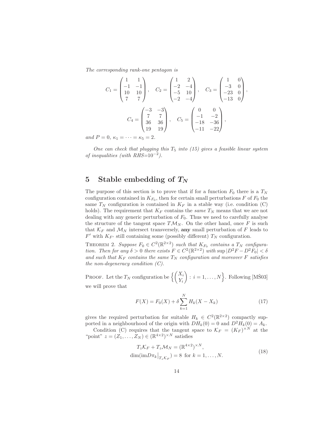*The corresponding rank-one pentagon is*

$$
C_1 = \begin{pmatrix} 1 & 1 \\ -1 & -1 \\ 10 & 10 \\ 7 & 7 \end{pmatrix}, \quad C_2 = \begin{pmatrix} 1 & 2 \\ -2 & -4 \\ -5 & 10 \\ -2 & -4 \end{pmatrix}, \quad C_3 = \begin{pmatrix} 1 & 0 \\ -3 & 0 \\ -23 & 0 \\ -13 & 0 \end{pmatrix},
$$

$$
C_4 = \begin{pmatrix} -3 & -3 \\ 7 & 7 \\ 36 & 36 \\ 19 & 19 \end{pmatrix}, \quad C_5 = \begin{pmatrix} 0 & 0 \\ -1 & -2 \\ -18 & -36 \\ -11 & -22 \end{pmatrix},
$$

*and*  $P = 0, \kappa_1 = \cdots = \kappa_5 = 2$ .

*One can check that plugging this* T<sup>5</sup> *into (15) gives a feasible linear system of inequalities (with RHS=*10−<sup>2</sup>*).*

## **5 Stable embedding of** *TN*

The purpose of this section is to prove that if for a function  $F_0$  there is a  $T_N$ configuration contained in  $K_{F_0}$ , then for certain small perturbations F of  $F_0$  the same  $T_N$  configuration is contained in  $K_F$  in a stable way (i.e. condition (C) holds). The requirement that  $K_F$  contains the *same*  $T_N$  means that we are not dealing with any generic perturbation of  $F_0$ . Thus we need to carefully analyse the structure of the tangent space  $T\mathcal{M}_N$ . On the other hand, once F is such that  $\mathcal{K}_F$  and  $\mathcal{M}_N$  intersect transversely, **any** small perturbation of F leads to  $F'$  with  $K_{F'}$  still containing some (possibly different)  $T_N$  configuration.

THEOREM 2. *Suppose*  $F_0 \in C^2(\mathbb{R}^{2\times 2})$  *such that*  $K_{F_0}$  *contains* a  $T_N$  *configuration. Then for any*  $\delta > 0$  *there exists*  $F \in C^2(\mathbb{R}^{2 \times 2})$  *with* sup  $|D^2F - D^2F_0| < \delta$ and such that  $K_F$  contains the same  $T_N$  configuration and moreover  $F$  satisfies *the non-degeneracy condition (C).*

PROOF. Let the  $T_N$  configuration be  $\left\{ \begin{pmatrix} X_i \\ Y_i \end{pmatrix} \right\}$ Yi  $\bigg\}$ :  $i = 1, \ldots, N$ . Following [MŠ03] we will prove that

$$
F(X) = F_0(X) + \delta \sum_{k=1}^{N} H_k(X - X_k)
$$
\n(17)

gives the required perturbation for suitable  $H_k \in C^2(\mathbb{R}^{2\times 2})$  compactly supported in a neighbourhood of the origin with  $DH_k(0) = 0$  and  $D^2H_k(0) = A_k$ .

Condition (C) requires that the tangent space to  $\mathcal{K}_F = (K_F)^{\times N}$  at the "point"  $z = (Z_1, \ldots, Z_N) \in (\mathbb{R}^{4 \times 2})^{\times N}$  satisfies

$$
T_z \mathcal{K}_F + T_z \mathcal{M}_N = (\mathbb{R}^{4 \times 2})^{\times N},
$$
  
dim $(\text{im} D \pi_k|_{T_z \mathcal{K}_F}) = 8$  for  $k = 1, ..., N$ . (18)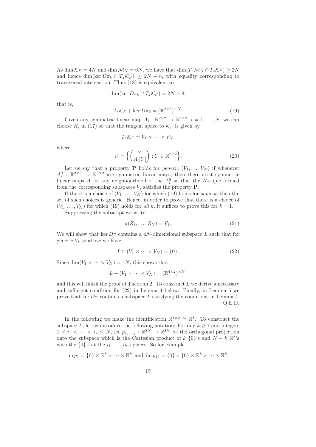As dim  $\mathcal{K}_F = 4N$  and dim  $\mathcal{M}_N = 6N$ , we have that  $\dim(T_z \mathcal{M}_N \cap T_z \mathcal{K}_F) \geq 2N$ and hence dim(ker  $D\pi_k \cap T_z\mathcal{K}_F$ )  $\geq 2N-8$ , with equality corresponding to transversal intersection. Thus (18) is equivalent to

$$
\dim(\ker D\pi_k \cap T_z\mathcal{K}_F) = 2N - 8,
$$

that is,

$$
T_z \mathcal{K}_F + \ker D\pi_k = (\mathbb{R}^{4 \times 2})^{\times N}.
$$
 (19)

Given any symmetric linear map  $A_i : \mathbb{R}^{2 \times 2} \to \mathbb{R}^{2 \times 2}$ ,  $i = 1, ..., N$ , we can choose  $H_i$  in (17) so that the tangent space to  $\mathcal{K}_F$  is given by

$$
T_z\mathcal{K}_F=V_1\times\cdots\times V_N,
$$

where

$$
V_i = \left\{ \begin{pmatrix} Y \\ A_i[Y] \end{pmatrix} : Y \in \mathbb{R}^{2 \times 2} \right\}.
$$
 (20)

Let us say that a property **P** holds for *generic*  $(V_1, \ldots, V_N)$  if whenever  $A_i^0$  :  $\mathbb{R}^{2\times 2} \rightarrow \mathbb{R}^{2\times 2}$  are symmetric linear maps, then there exist symmetric linear maps  $A_i$  in any neighbourhood of the  $A_i^0$  so that the N-tuple formed from the corresponding subspaces  $V_i$  satisfies the property  $P$ .

If there is a choice of  $(V_1, \ldots, V_N)$  for which (19) holds for *some* k, then the set of such choices is generic. Hence, in order to prove that there is a choice of  $(V_1,\ldots,V_N)$  for which (19) holds for *all* k, it suffices to prove this for  $k=1$ .

Suppressing the subscript we write

$$
\pi(Z_1,\ldots,Z_N)=P_1.\tag{21}
$$

We will show that ker  $D\pi$  contains a 4N-dimensional subspace L such that for generic  $V_i$  as above we have

$$
L \cap (V_1 \times \cdots \times V_N) = \{0\}.
$$
 (22)

Since dim $(V_1 \times \cdots \times V_N) = 4N$ , this shows that

$$
L + (V_1 \times \cdots \times V_N) = (\mathbb{R}^{4 \times 2})^{\times N},
$$

and this will finish the proof of Theorem 2. To construct  $L$  we derive a necessary and sufficient condition for (22) in Lemma 4 below. Finally, in Lemma 5 we prove that ker  $D\pi$  contains a subspace L satisfying the conditions in Lemma 4. Q.E.D.

In the following we make the identification  $\mathbb{R}^{4\times 2} \cong \mathbb{R}^8$ . To construct the subspace L, let us introduce the following notation: For any  $k \geq 1$  and integers  $1 \leq i_1 < \cdots < i_k \leq N$ , let  $p_{i_1...i_k} : \mathbb{R}^{8N} \to \mathbb{R}^{8N}$  be the orthogonal projection onto the subspace which is the Cartesian product of k  $\{0\}$ 's and  $N - k \mathbb{R}^8$ 's with the  $\{0\}$ 's at the  $i_1,\ldots,i_k$ 's places. So for example

$$
\text{im } p_1 = \{0\} \times \mathbb{R}^8 \times \cdots \times \mathbb{R}^8 \text{ and } \text{im } p_{12} = \{0\} \times \{0\} \times \mathbb{R}^8 \times \cdots \times \mathbb{R}^8.
$$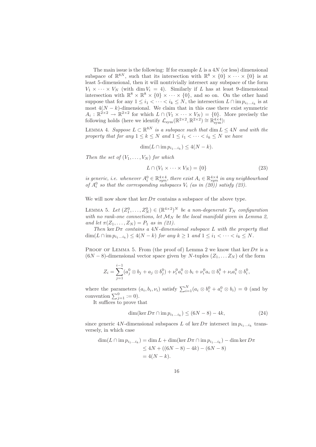The main issue is the following: If for example  $L$  is a  $4N$  (or less) dimensional subspace of  $\mathbb{R}^{8N}$ , such that its intersection with  $\mathbb{R}^8 \times \{0\} \times \cdots \times \{0\}$  is at least 5-dimensional, then it will nontrivially intersect any subspace of the form  $V_1 \times \cdots \times V_N$  (with dim  $V_i = 4$ ). Similarly if L has at least 9-dimensional intersection with  $\mathbb{R}^8 \times \mathbb{R}^8 \times \{0\} \times \cdots \times \{0\}$ , and so on. On the other hand suppose that for any  $1 \leq i_1 < \cdots < i_k \leq N$ , the intersection  $L \cap \text{im } p_{i_1...i_k}$  is at most  $4(N - k)$ -dimensional. We claim that in this case there exist symmetric  $A_i : \mathbb{R}^{\geq \times 2} \to \mathbb{R}^{2 \times 2}$  for which  $L \cap (V_1 \times \cdots \times V_N) = \{0\}$ . More precisely the following holds (here we identify  $\mathcal{L}_{sym}(\mathbb{R}^{2\times2}, \mathbb{R}^{2\times2}) \cong \mathbb{R}^{4\times4}_{sym}$ ):

LEMMA 4. *Suppose*  $L \subset \mathbb{R}^{8N}$  *is a subspace such that* dim  $L \leq 4N$  *and with the property that for any*  $1 \leq k \leq N$  *and*  $1 \leq i_1 < \cdots < i_k \leq N$  *we have* 

$$
\dim(L \cap \operatorname{im} p_{i_1...i_k}) \le 4(N-k).
$$

*Then the set of*  $(V_1, \ldots, V_N)$  *for which* 

$$
L \cap (V_1 \times \cdots \times V_N) = \{0\} \tag{23}
$$

*is generic, i.e. whenever*  $A_i^0 \in \mathbb{R}_{sym}^{4 \times 4}$ , there exist  $A_i \in \mathbb{R}_{sym}^{4 \times 4}$  in any neighbourhood of  $A_i^0$  so that the corresponding subspaces  $V_i$  (as in (20)) satisfy (23).

We will now show that ker  $D\pi$  contains a subspace of the above type.

LEMMA 5. Let  $(Z_1^0, \ldots, Z_N^0) \in (\mathbb{R}^{4 \times 2})^N$  be a non-degenerate  $T_N$  configuration with no rank-one connections, let  $\mathcal{M}_N$  be the local manifold given in Lemma 2, *and let*  $\pi(Z_1, ..., Z_N) = P_1$  *as in (21).* 

*Then* ker  $D\pi$  *contains a 4N-dimensional subspace* L *with the property that*  $\dim(L \cap \text{im } p_{i_1...i_k}) \leq 4(N-k)$  *for any*  $k \geq 1$  *and*  $1 \leq i_1 < \cdots < i_k \leq N$ *.* 

PROOF OF LEMMA 5. From (the proof of) Lemma 2 we know that ker  $D\pi$  is a  $(6N-8)$ -dimensional vector space given by N-tuples  $(Z_1,...,Z_N)$  of the form

$$
Z_i = \sum_{j=1}^{i-1} (a_j^0 \otimes b_j + a_j \otimes b_j^0) + \nu_i^0 a_i^0 \otimes b_i + \nu_i^0 a_i \otimes b_i^0 + \nu_i a_i^0 \otimes b_i^0,
$$

where the parameters  $(a_i, b_i, \nu_i)$  satisfy  $\sum_{i=1}^N (a_i \otimes b_i^0 + a_i^0 \otimes b_i) = 0$  (and by convention  $\sum_{i=1}^{0} := 0$ .

It suffices to prove that

$$
\dim(\ker D\pi \cap \operatorname{im} p_{i_1...i_k}) \le (6N - 8) - 4k,\tag{24}
$$

since generic 4N-dimensional subspaces L of ker  $D\pi$  intersect im  $p_{i_1...i_k}$  transversely, in which case

$$
\dim(L \cap \text{im } p_{i_1...i_k}) = \dim L + \dim(\ker D\pi \cap \text{im } p_{i_1...i_k}) - \dim \ker D\pi
$$
  
\n
$$
\leq 4N + ((6N - 8) - 4k) - (6N - 8)
$$
  
\n
$$
= 4(N - k).
$$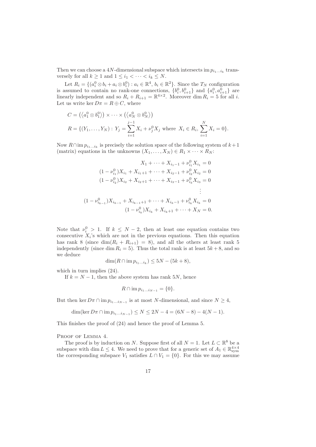Then we can choose a 4N-dimensional subspace which intersects im  $p_{i_1...i_k}$  transversely for all  $k \geq 1$  and  $1 \leq i_1 < \cdots < i_k \leq N$ .

Let  $R_i = \{(a_i^0 \otimes b_i + a_i \otimes b_i^0) : a_i \in \mathbb{R}^4, b_i \in \mathbb{R}^2\}$ . Since the  $T_N$  configuration is assumed to contain no rank-one connections,  $\{b_i^0, b_{i+1}^0\}$  and  $\{a_i^0, a_{i+1}^0\}$  are linearly independent and so  $R_i + R_{i+1} = \mathbb{R}^{4 \times 2}$ . Moreover dim  $R_i = 5$  for all i. Let us write ker  $D\pi = R \oplus C$ , where

$$
C = \left( \langle a_1^0 \otimes b_1^0 \rangle \right) \times \cdots \times \left( \langle a_N^0 \otimes b_N^0 \rangle \right)
$$
  

$$
R = \left\{ (Y_1, \ldots, Y_N) : Y_j = \sum_{i=1}^{j-1} X_i + \nu_j^0 X_j \text{ where } X_i \in R_i, \sum_{i=1}^N X_i = 0 \right\}.
$$

Now  $R \cap \text{im } p_{i_1...i_k}$  is precisely the solution space of the following system of  $k+1$ (matrix) equations in the unknowns  $(X_1, \ldots, X_N) \in R_1 \times \cdots \times R_N$ :

$$
X_1 + \dots + X_{i_1 - 1} + \nu_{i_1}^0 X_{i_1} = 0
$$
  
\n
$$
(1 - \nu_{i_1}^0) X_{i_1} + X_{i_1 + 1} + \dots + X_{i_2 - 1} + \nu_{i_2}^0 X_{i_2} = 0
$$
  
\n
$$
(1 - \nu_{i_2}^0) X_{i_2} + X_{i_2 + 1} + \dots + X_{i_3 - 1} + \nu_{i_3}^0 X_{i_3} = 0
$$
  
\n
$$
\vdots
$$
  
\n
$$
(1 - \nu_{i_{k-1}}^0) X_{i_{k-1}} + X_{i_{k-1} + 1} + \dots + X_{i_k - 1} + \nu_{i_k}^0 X_{i_k} = 0
$$
  
\n
$$
(1 - \nu_{i_k}^0) X_{i_k} + X_{i_{k+1}} + \dots + X_N = 0.
$$

Note that  $\nu_i^0 > 1$ . If  $k \leq N-2$ , then at least one equation contains two consecutive  $X_i$ 's which are not in the previous equations. Then this equation has rank 8 (since dim $(R_i + R_{i+1}) = 8$ ), and all the others at least rank 5 independently (since dim  $R_i = 5$ ). Thus the total rank is at least  $5k + 8$ , and so we deduce

$$
\dim(R \cap \operatorname{im} p_{i_1...i_k}) \le 5N - (5k + 8),
$$

which in turn implies  $(24)$ .

If  $k = N - 1$ , then the above system has rank 5N, hence

$$
R \cap \text{im } p_{i_1...i_{N-1}} = \{0\}.
$$

But then ker  $D\pi \cap \lim p_{i_1...i_{N-1}}$  is at most N-dimensional, and since  $N \geq 4$ ,

$$
\dim(\ker D\pi \cap \lim p_{i_1...i_{N-1}}) \le N \le 2N - 4 = (6N - 8) - 4(N - 1).
$$

This finishes the proof of (24) and hence the proof of Lemma 5.

PROOF OF LEMMA 4.

The proof is by induction on N. Suppose first of all  $N = 1$ . Let  $L \subset \mathbb{R}^8$  be a subspace with dim  $L \leq 4$ . We need to prove that for a generic set of  $A_1 \in \mathbb{R}^{4 \times 4}_{sym}$ the corresponding subspace  $V_1$  satisfies  $L \cap V_1 = \{0\}$ . For this we may assume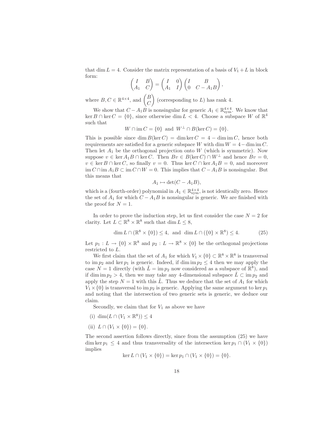that dim  $L = 4$ . Consider the matrix representation of a basis of  $V_1 + L$  in block form:  $\mathcal{L}$ 

$$
\begin{pmatrix} I & B \ A_1 & C \end{pmatrix} = \begin{pmatrix} I & 0 \ A_1 & I \end{pmatrix} \begin{pmatrix} I & B \ 0 & C - A_1 B \end{pmatrix},
$$

where  $B, C \in \mathbb{R}^{4 \times 4}$ , and  $\begin{pmatrix} B \\ C \end{pmatrix}$  $\overline{C}$ (corresponding to  $L$ ) has rank 4.

We show that  $C - A_1 B$  is nonsingular for generic  $A_1 \in \mathbb{R}^{4 \times 4}_{sym}$ . We know that ker B∩ ker C = {0}, since otherwise dim L < 4. Choose a subspace W of  $\mathbb{R}^4$ such that

$$
W \cap \text{im } C = \{0\} \text{ and } W^{\perp} \cap B(\ker C) = \{0\}.
$$

This is possible since dim  $B(\ker C) = \dim \ker C = 4 - \dim \mathrm{im} C$ , hence both requirements are satisfied for a generic subspace W with dim  $W = 4 - \dim \text{im } C$ . Then let  $A_1$  be the orthogonal projection onto W (which is symmetric). Now suppose  $v \in \text{ker } A_1B \cap \text{ker } C$ . Then  $Bv \in B(\text{ker } C) \cap W^{\perp}$  and hence  $Bv = 0$ ,  $v \in \text{ker } B \cap \text{ker } C$ , so finally  $v = 0$ . Thus  $\text{ker } C \cap \text{ker } A_1 B = 0$ , and moreover im  $C \cap \text{im } A_1 B \subset \text{im } C \cap W = 0$ . This implies that  $C - A_1 B$  is nonsingular. But this means that

$$
A_1 \mapsto \det(C - A_1B),
$$

which is a (fourth-order) polynomial in  $A_1 \in \mathbb{R}^{4 \times 4}_{sym}$ , is not identically zero. Hence the set of  $A_1$  for which  $C - A_1B$  is nonsingular is generic. We are finished with the proof for  $N = 1$ .

In order to prove the induction step, let us first consider the case  $N = 2$  for clarity. Let  $L \subset \mathbb{R}^8 \times \mathbb{R}^8$  such that  $\dim L \leq 8$ ,

$$
\dim L \cap (\mathbb{R}^8 \times \{0\}) \le 4, \text{ and } \dim L \cap (\{0\} \times \mathbb{R}^8) \le 4. \tag{25}
$$

Let  $p_1: L \to \{0\} \times \mathbb{R}^8$  and  $p_2: L \to \mathbb{R}^8 \times \{0\}$  be the orthogonal projections restricted to L.

We first claim that the set of  $A_1$  for which  $V_1 \times \{0\} \subset \mathbb{R}^8 \times \mathbb{R}^8$  is transversal to im  $p_2$  and ker  $p_1$  is generic. Indeed, if dim im  $p_2 \leq 4$  then we may apply the case  $N = 1$  directly (with  $\tilde{L} = \text{im } p_2$  now considered as a subspace of  $\mathbb{R}^8$ ), and if dim im  $p_2 > 4$ , then we may take any 4-dimensional subspace  $\tilde{L} \subset \text{im } p_2$  and apply the step  $N = 1$  with this  $\tilde{L}$ . Thus we deduce that the set of  $A_1$  for which  $V_1 \times \{0\}$  is transversal to im  $p_2$  is generic. Applying the same argument to ker  $p_1$ and noting that the intersection of two generic sets is generic, we deduce our claim.

Secondly, we claim that for  $V_1$  as above we have

- (i) dim $(L \cap (V_1 \times \mathbb{R}^8)) \leq 4$
- (ii)  $L \cap (V_1 \times \{0\}) = \{0\}.$

The second assertion follows directly, since from the assumption (25) we have dim ker  $p_1 \leq 4$  and thus transversality of the intersection ker  $p_1 \cap (V_1 \times \{0\})$ implies

$$
\ker L \cap (V_1 \times \{0\}) = \ker p_1 \cap (V_1 \times \{0\}) = \{0\}.
$$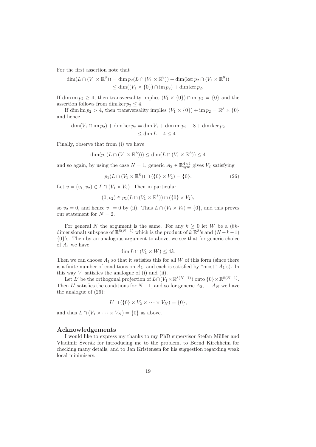For the first assertion note that

$$
\dim(L \cap (V_1 \times \mathbb{R}^8)) = \dim p_2(L \cap (V_1 \times \mathbb{R}^8)) + \dim(\ker p_2 \cap (V_1 \times \mathbb{R}^8))
$$
  
\n
$$
\leq \dim((V_1 \times \{0\}) \cap \text{im } p_2) + \dim \ker p_2.
$$

If dim im  $p_2 \geq 4$ , then transversality implies  $(V_1 \times \{0\}) \cap \text{im } p_2 = \{0\}$  and the assertion follows from dim ker  $p_2 \leq 4$ .

If dim im  $p_2 > 4$ , then transversality implies  $(V_1 \times \{0\}) + \text{im } p_2 = \mathbb{R}^8 \times \{0\}$ and hence

 $\dim(V_1 \cap \text{im } p_2) + \dim \ker p_2 = \dim V_1 + \dim \text{im } p_2 - 8 + \dim \ker p_2$  $< \dim L - 4 < 4.$ 

Finally, observe that from (i) we have

$$
\dim(p_1(L \cap (V_1 \times \mathbb{R}^8))) \le \dim(L \cap (V_1 \times \mathbb{R}^8)) \le 4
$$

and so again, by using the case  $N = 1$ , generic  $A_2 \in \mathbb{R}^{4 \times 4}_{sym}$  gives  $V_2$  satisfying

$$
p_1(L \cap (V_1 \times \mathbb{R}^8)) \cap (\{0\} \times V_2) = \{0\}.
$$
 (26)

Let  $v = (v_1, v_2) \in L \cap (V_1 \times V_2)$ . Then in particular

$$
(0, v_2) \in p_1(L \cap (V_1 \times \mathbb{R}^8)) \cap (\{0\} \times V_2),
$$

so  $v_2 = 0$ , and hence  $v_1 = 0$  by (ii). Thus  $L \cap (V_1 \times V_2) = \{0\}$ , and this proves our statement for  $N = 2$ .

For general N the argument is the same. For any  $k \geq 0$  let W be a  $(8k$ dimensional) subspace of  $\mathbb{R}^{8(N-1)}$  which is the product of k  $\mathbb{R}^{8}$ 's and  $(N-k-1)$ {0}'s. Then by an analogous argument to above, we see that for generic choice of  $A_1$  we have

$$
\dim L \cap (V_1 \times W) \le 4k.
$$

Then we can choose  $A_1$  so that it satisfies this for all W of this form (since there is a finite number of conditions on  $A_1$ , and each is satisfied by "most"  $A_1$ 's). In this way  $V_1$  satisfies the analogue of (i) and (ii).

Let L' be the orthogonal projection of  $L \cap (V_1 \times \mathbb{R}^{8(N-1)})$  onto  $\{0\} \times \mathbb{R}^{8(N-1)}$ . Then L' satisfies the conditions for  $N-1$ , and so for generic  $A_2, \ldots A_N$  we have the analogue of (26):

$$
L' \cap (\{0\} \times V_2 \times \cdots \times V_N) = \{0\},
$$

and thus  $L \cap (V_1 \times \cdots \times V_N) = \{0\}$  as above.

#### **Acknowledgements**

I would like to express my thanks to my PhD supervisor Stefan Müller and Vladimír Šverák for introducing me to the problem, to Bernd Kirchheim for checking many details, and to Jan Kristensen for his suggestion regarding weak local minimisers.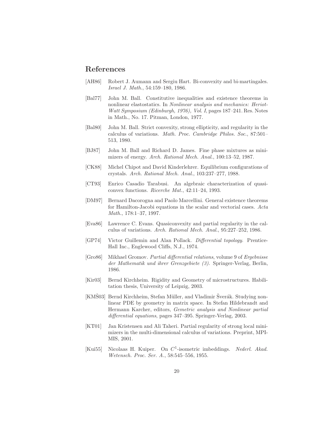## **References**

- [AH86] Robert J. Aumann and Sergiu Hart. Bi-convexity and bi-martingales. *Israel J. Math.*, 54:159–180, 1986.
- [Bal77] John M. Ball. Constitutive inequalities and existence theorems in nonlinear elastostatics. In *Nonlinear analysis and mechanics: Heriot-Watt Symposium (Edinburgh, 1976), Vol. I*, pages 187–241. Res. Notes in Math., No. 17. Pitman, London, 1977.
- [Bal80] John M. Ball. Strict convexity, strong ellipticity, and regularity in the calculus of variations. *Math. Proc. Cambridge Philos. Soc.*, 87:501– 513, 1980.
- [BJ87] John M. Ball and Richard D. James. Fine phase mixtures as minimizers of energy. *Arch. Rational Mech. Anal.*, 100:13–52, 1987.
- [CK88] Michel Chipot and David Kinderlehrer. Equilibrium configurations of crystals. *Arch. Rational Mech. Anal.*, 103:237–277, 1988.
- [CT93] Enrico Casadio Tarabusi. An algebraic characterization of quasiconvex functions. *Ricerche Mat.*, 42:11–24, 1993.
- [DM97] Bernard Dacorogna and Paolo Marcellini. General existence theorems for Hamilton-Jacobi equations in the scalar and vectorial cases. *Acta Math.*, 178:1–37, 1997.
- [Eva86] Lawrence C. Evans. Quasiconvexity and partial regularity in the calculus of variations. *Arch. Rational Mech. Anal.*, 95:227–252, 1986.
- [GP74] Victor Guillemin and Alan Pollack. *Differential topology*. Prentice-Hall Inc., Englewood Cliffs, N.J., 1974.
- [Gro86] Mikhael Gromov. *Partial differential relations*, volume 9 of *Ergebnisse der Mathematik und ihrer Grenzgebiete (3)*. Springer-Verlag, Berlin, 1986.
- [Kir03] Bernd Kirchheim. Rigidity and Geometry of microstructures. Habilitation thesis, University of Leipzig, 2003.
- [KMŠ03] Bernd Kirchheim, Stefan Müller, and Vladimir Šverák. Studying nonlinear PDE by geometry in matrix space. In Stefan Hildebrandt and Hermann Karcher, editors, *Gemetric analysis and Nonlinear partial differential equations*, pages 347–395. Springer-Verlag, 2003.
- [KT01] Jan Kristensen and Ali Taheri. Partial regularity of strong local minimizers in the multi-dimensional calculus of variations. Preprint, MPI-MIS, 2001.
- [Kui55] Nicolaas H. Kuiper. On  $C^1$ -isometric imbeddings. *Nederl. Akad. Wetensch. Proc. Ser. A.*, 58:545–556, 1955.